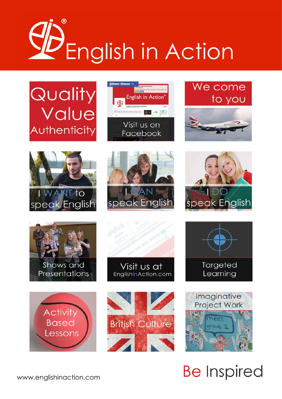

























## **Be Inspired**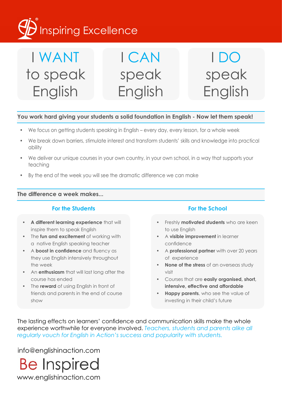## Inspiring Excellence

#### I WANT to speak English I CAN speak English I DO speak English

#### **You work hard giving your students a solid foundation in English - Now let them speak!**

- We focus on getting students speaking in English every day, every lesson, for a whole week
- We break down barriers, stimulate interest and transform students' skills and knowledge into practical ability
- We deliver our unique courses in your own country, in your own school, in a way that supports your teaching
- By the end of the week you will see the dramatic difference we can make

#### **The difference a week makes...**

#### **For the Students For the School**

- **• A different learning experience** that will inspire them to speak English
- • The **fun and excitement** of working with a native English speaking teacher
- • A **boost in confidence** and fluency as they use English intensively throughout the week
- • An **enthusiasm** that will last long after the course has ended
- The **reward** of using English in front of friends and parents in the end of course show

- Freshly **motivated students** who are keen to use English
- • A **visible improvement** in learner confidence
- A **professional partner** with over 20 years of experience
- **None of the stress** of an overseas study visit
- Courses that are **easily organised, short, intensive, effective and affordable**
- **Happy parents**, who see the value of investing in their child's future

The lasting effects on learners' confidence and communication skills make the whole experience worthwhile for everyone involved. *Teachers, students and parents alike all regularly vouch for English in Action's success and popularity with students.*

info@englishinaction.com

**Be Inspired** www.englishinaction.com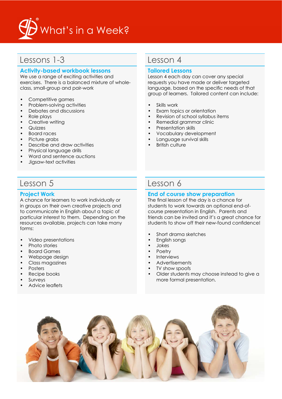

### Lessons 1-3

#### **Activity-based workbook lessons**

We use a range of exciting activities and exercises. There is a balanced mixture of wholeclass, small-group and pair-work

- • Competitive games
- Problem-solving activities
- • Debates and discussions
- • Role plays
- Creative writing
- • Quizzes
- • Board races
- Picture grabs
- • Describe and draw activities
- • Physical language drills
- • Word and sentence auctions
- • Jigsaw-text activities

#### Lesson 5

#### **Project Work**

A chance for learners to work individually or in groups on their own creative projects and to communicate in English about a topic of particular interest to them. Depending on the resources available, projects can take many forms:

- • Video presentations
- Photo stories
- • Board Games
- Webpage design
- • Class magazines
- • Posters
- Recipe books
- **Surveys**
- Advice leaflets

#### Lesson 4

#### **Tailored Lessons**

Lesson 4 each day can cover any special requests you have made or deliver targeted language, based on the specific needs of that group of learners. Tailored content can include:

- Skills work
- Exam topics or orientation
- Revision of school syllabus items
- Remedial grammar clinic
- Presentation skills
- Vocabulary development
- Language survival skills
- **British culture**

#### Lesson 6

#### **End of course show preparation**

The final lesson of the day is a chance for students to work towards an optional end-ofcourse presentation in English. Parents and friends can be invited and it's a great chance for students to show off their new-found confidence!

- Short drama sketches
- English songs
- • Jokes
- **Poetry**
- **Interviews**
- Advertisements<br>• TV show speafs
- TV show spoofs
- Older students may choose instead to give a more formal presentation.

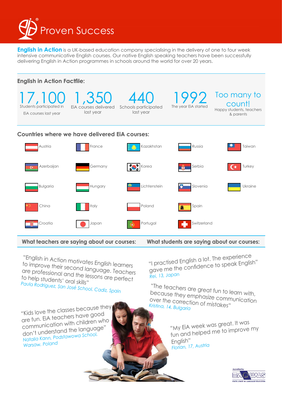

**English in Action** is a UK-based education company specialising in the delivery of one to four week intensive communicative English courses. Our native English speaking teachers have been successfully delivering English in Action programmes in schools around the world for over 20 years.



**What teachers are saying about our courses:**

"English in Action motivates English learners to improve their second language. Teachers are professional and the lessons are perfect

"I practised English a lot. The experience gave me the confidence to spea<sup>k</sup> English"

*Rei, 13, Japan*

"The teachers are great fun to learn with, because they emphasize communication over the correction of mistakes" *Kristina, 14, Bulgaria*

> "My EiA week was great. It was fun and helped me to improve my English" *Florian, 17, Austria*



"Kids love the classes because they are fun. EiA teachers have goo<sup>d</sup> communication with children who don't understand the language" *Natalia Kann, Podstawowa School, Warsaw, Polan<sup>d</sup>*

*Paula Rodriguez, San José School, Cadiz, Spain*

to help students' oral skills"